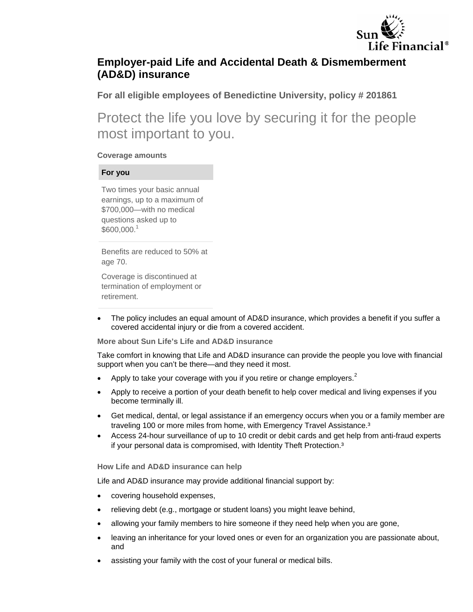

# **Employer-paid Life and Accidental Death & Dismemberment (AD&D) insurance**

**For all eligible employees of Benedictine University, policy # 201861** 

Protect the life you love by securing it for the people most important to you.

## **Coverage amounts**

## **For you**

Two times your basic annual earnings, up to a maximum of \$700,000—with no medical questions asked up to \$600,000.<sup>1</sup>

Benefits are reduced to 50% at age 70.

Coverage is discontinued at termination of employment or retirement.

 The policy includes an equal amount of AD&D insurance, which provides a benefit if you suffer a covered accidental injury or die from a covered accident.

**More about Sun Life's Life and AD&D insurance** 

Take comfort in knowing that Life and AD&D insurance can provide the people you love with financial support when you can't be there—and they need it most.

- Apply to take your coverage with you if you retire or change employers. $^2$
- Apply to receive a portion of your death benefit to help cover medical and living expenses if you become terminally ill.
- Get medical, dental, or legal assistance if an emergency occurs when you or a family member are traveling 100 or more miles from home, with Emergency Travel Assistance.<sup>3</sup>
- Access 24-hour surveillance of up to 10 credit or debit cards and get help from anti-fraud experts if your personal data is compromised, with Identity Theft Protection.<sup>3</sup>

**How Life and AD&D insurance can help** 

Life and AD&D insurance may provide additional financial support by:

- covering household expenses,
- relieving debt (e.g., mortgage or student loans) you might leave behind,
- allowing your family members to hire someone if they need help when you are gone,
- leaving an inheritance for your loved ones or even for an organization you are passionate about, and
- assisting your family with the cost of your funeral or medical bills.